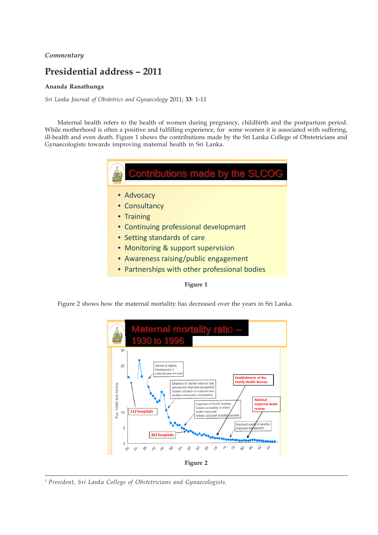## *Commentary*

## **Presidential address – 2011**

## **Ananda Ranathunga**

*Sri Lanka Journal of Obstetrics and Gynaecology* 2011; **33**: 1-11

Maternal health refers to the health of women during pregnancy, childbirth and the postpartum period. While motherhood is often a positive and fulfilling experience, for some women it is associated with suffering, ill-health and even death. Figure 1 shows the contributions made by the Sri Lanka College of Obstetricians and Gynaecologists towards improving maternal health in Sri Lanka.



Figure 2 shows how the maternal mortality has decreased over the years in Sri Lanka.



<sup>1</sup> *President, Sri Lanka College of Obstetricians and Gynaecologists.*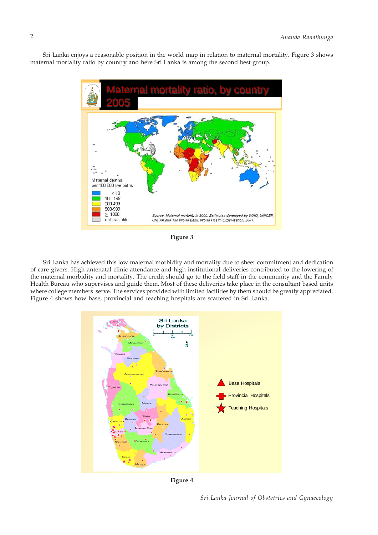Sri Lanka enjoys a reasonable position in the world map in relation to maternal mortality. Figure 3 shows maternal mortality ratio by country and here Sri Lanka is among the second best group.



**Figure 3**

Sri Lanka has achieved this low maternal morbidity and mortality due to sheer commitment and dedication of care givers. High antenatal clinic attendance and high institutional deliveries contributed to the lowering of the maternal morbidity and mortality. The credit should go to the field staff in the community and the Family Health Bureau who supervises and guide them. Most of these deliveries take place in the consultant based units where college members serve. The services provided with limited facilities by them should be greatly appreciated. Figure 4 shows how base, provincial and teaching hospitals are scattered in Sri Lanka.



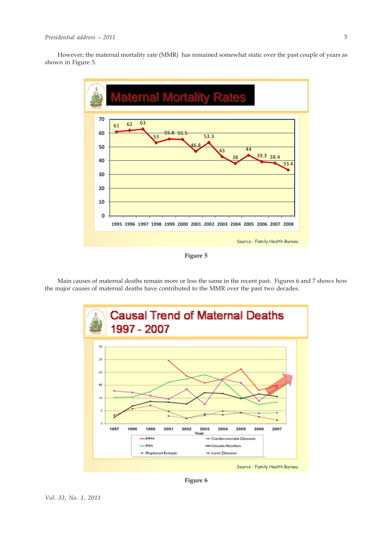However, the maternal mortality rate (MMR) has remained somewhat static over the past couple of years as shown in Figure 5.



**Figure 5**

Main causes of maternal deaths remain more or less the same in the recent past. Figures 6 and 7 shows how the major causes of maternal deaths have contributed to the MMR over the past two decades.



**Figure 6**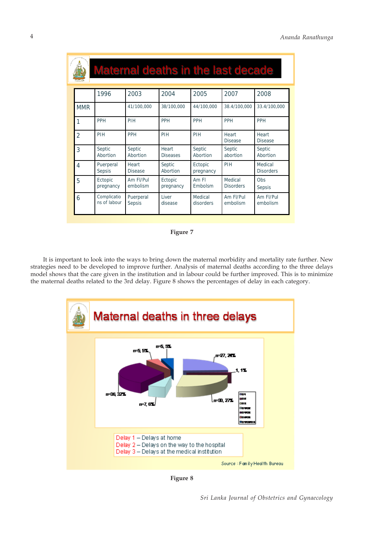|  |                |                             | Maternal deaths in the last decade |                          |                      |                             |                             |
|--|----------------|-----------------------------|------------------------------------|--------------------------|----------------------|-----------------------------|-----------------------------|
|  |                | 1996                        | 2003                               | 2004                     | 2005                 | 2007                        | 2008                        |
|  | <b>MMR</b>     |                             | 41/100,000                         | 38/100,000               | 44/100,000           | 38.4/100,000                | 33.4/100,000                |
|  | 1              | <b>PPH</b>                  | PIH                                | <b>PPH</b>               | <b>PPH</b>           | <b>PPH</b>                  | <b>PPH</b>                  |
|  | $\mathfrak{D}$ | PIH                         | PPH                                | PIH                      | PIH                  | Heart<br><b>Disease</b>     | Heart<br><b>Disease</b>     |
|  | 3              | Septic<br>Abortion          | Septic<br>Abortion                 | Heart<br><b>Diseases</b> | Septic<br>Abortion   | Septic<br>abortion          | Septic<br>Abortion          |
|  | 4              | Puerperal<br>Sepsis         | Heart<br><b>Disease</b>            | Septic<br>Abortion       | Ectopic<br>pregnancy | PIH                         | Medical<br><b>Disorders</b> |
|  | 5              | Ectopic<br>pregnancy        | Am FI/Pul<br>embolism              | Ectopic<br>pregnancy     | Am Fl<br>Embolsm     | Medical<br><b>Disorders</b> | Obs<br>Sepsis               |
|  | 6              | Complicatio<br>ns of labour | Puerperal<br><b>Sepsis</b>         | <b>Liver</b><br>disease  | Medical<br>disorders | Am Fl/Pul<br>embolism       | Am Fl/Pul<br>embolism       |

**Figure 7**

It is important to look into the ways to bring down the maternal morbidity and mortality rate further. New strategies need to be developed to improve further. Analysis of maternal deaths according to the three delays model shows that the care given in the institution and in labour could be further improved. This is to minimize the maternal deaths related to the 3rd delay. Figure 8 shows the percentages of delay in each category.



**Figure 8**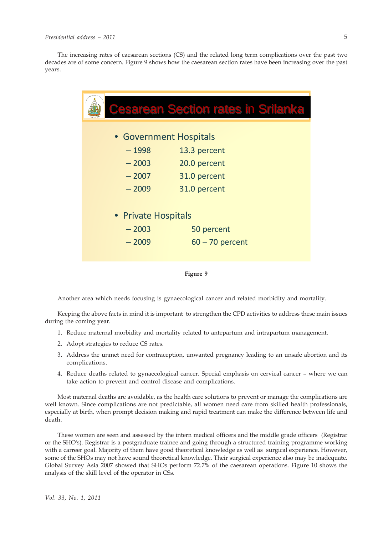The increasing rates of caesarean sections (CS) and the related long term complications over the past two decades are of some concern. Figure 9 shows how the caesarean section rates have been increasing over the past years.

|                        | <b>Cesarean Section rates in Srilanka</b> |  |  |  |  |  |
|------------------------|-------------------------------------------|--|--|--|--|--|
|                        |                                           |  |  |  |  |  |
|                        |                                           |  |  |  |  |  |
| • Government Hospitals |                                           |  |  |  |  |  |
| $-1998$                | 13.3 percent                              |  |  |  |  |  |
| $-2003$                | 20.0 percent                              |  |  |  |  |  |
| $-2007$                | 31.0 percent                              |  |  |  |  |  |
| $-2009$                | 31.0 percent                              |  |  |  |  |  |
|                        |                                           |  |  |  |  |  |
| • Private Hospitals    |                                           |  |  |  |  |  |
| $-2003$                | 50 percent                                |  |  |  |  |  |
| $-2009$                | $60 - 70$ percent                         |  |  |  |  |  |
|                        |                                           |  |  |  |  |  |



Another area which needs focusing is gynaecological cancer and related morbidity and mortality.

Keeping the above facts in mind it is important to strengthen the CPD activities to address these main issues during the coming year.

- 1. Reduce maternal morbidity and mortality related to antepartum and intrapartum management.
- 2. Adopt strategies to reduce CS rates.
- 3. Address the unmet need for contraception, unwanted pregnancy leading to an unsafe abortion and its complications.
- 4. Reduce deaths related to gynaecological cancer. Special emphasis on cervical cancer where we can take action to prevent and control disease and complications.

Most maternal deaths are avoidable, as the health care solutions to prevent or manage the complications are well known. Since complications are not predictable, all women need care from skilled health professionals, especially at birth, when prompt decision making and rapid treatment can make the difference between life and death.

These women are seen and assessed by the intern medical officers and the middle grade officers (Registrar or the SHO's). Registrar is a postgraduate trainee and going through a structured training programme working with a carreer goal. Majority of them have good theoretical knowledge as well as surgical experience. However, some of the SHOs may not have sound theoretical knowledge. Their surgical experience also may be inadequate. Global Survey Asia 2007 showed that SHOs perform 72.7% of the caesarean operations. Figure 10 shows the analysis of the skill level of the operator in CSs.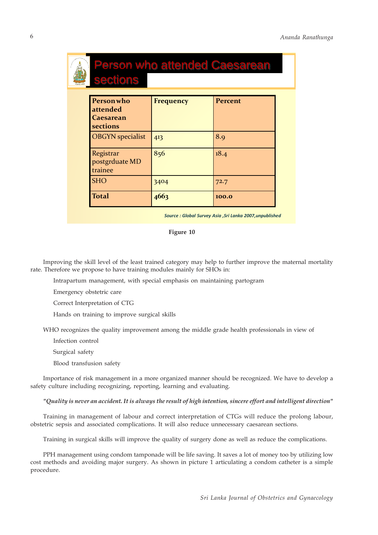# **Personwho attended Caesarean sections Frequency Percent** OBGYN specialist  $|_{413}$   $|_{8.9}$ Registrar postgrduate MD trainee  $856$  18.4 SHO  $3404$  72.7 Total 100.0 erson who attended Caesarean sections

*Source : Global Survey Asia ,Sri Lanka 2007,unpublished*

#### **Figure 10**

Improving the skill level of the least trained category may help to further improve the maternal mortality rate. Therefore we propose to have training modules mainly for SHOs in:

Intrapartum management, with special emphasis on maintaining partogram

Emergency obstetric care

Correct Interpretation of CTG

Hands on training to improve surgical skills

WHO recognizes the quality improvement among the middle grade health professionals in view of

Infection control

Surgical safety

Blood transfusion safety

Importance of risk management in a more organized manner should be recognized. We have to develop a safety culture including recognizing, reporting, learning and evaluating.

*"Quality is never an accident. It is always the result of high intention, sincere effort and intelligent direction"*

Training in management of labour and correct interpretation of CTGs will reduce the prolong labour, obstetric sepsis and associated complications. It will also reduce unnecessary caesarean sections.

Training in surgical skills will improve the quality of surgery done as well as reduce the complications.

PPH management using condom tamponade will be life saving. It saves a lot of money too by utilizing low cost methods and avoiding major surgery. As shown in picture 1 articulating a condom catheter is a simple procedure.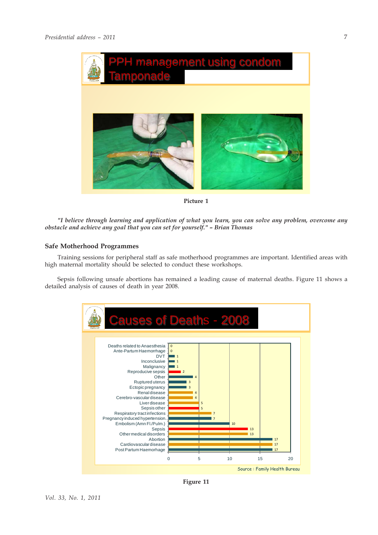

**Picture 1**

*"I believe through learning and application of what you learn, you can solve any problem, overcome any obstacle and achieve any goal that you can set for yourself." – Brian Thomas*

## **Safe Motherhood Programmes**

Training sessions for peripheral staff as safe motherhood programmes are important. Identified areas with high maternal mortality should be selected to conduct these workshops.

Sepsis following unsafe abortions has remained a leading cause of maternal deaths. Figure 11 shows a detailed analysis of causes of death in year 2008.



**Figure 11**

7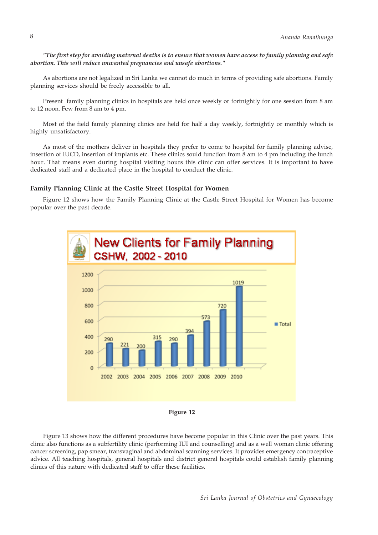*"The first step for avoiding maternal deaths is to ensure that women have access to family planning and safe abortion. This will reduce unwanted pregnancies and unsafe abortions."*

As abortions are not legalized in Sri Lanka we cannot do much in terms of providing safe abortions. Family planning services should be freely accessible to all.

Present family planning clinics in hospitals are held once weekly or fortnightly for one session from 8 am to 12 noon. Few from 8 am to 4 pm.

Most of the field family planning clinics are held for half a day weekly, fortnightly or monthly which is highly unsatisfactory.

As most of the mothers deliver in hospitals they prefer to come to hospital for family planning advise, insertion of IUCD, insertion of implants etc. These clinics sould function from 8 am to 4 pm including the lunch hour. That means even during hospital visiting hours this clinic can offer services. It is important to have dedicated staff and a dedicated place in the hospital to conduct the clinic.

#### **Family Planning Clinic at the Castle Street Hospital for Women**

Figure 12 shows how the Family Planning Clinic at the Castle Street Hospital for Women has become popular over the past decade.





Figure 13 shows how the different procedures have become popular in this Clinic over the past years. This clinic also functions as a subfertility clinic (performing IUI and counselling) and as a well woman clinic offering cancer screening, pap smear, transvaginal and abdominal scanning services. It provides emergency contraceptive advice. All teaching hospitals, general hospitals and district general hospitals could establish family planning clinics of this nature with dedicated staff to offer these facilities.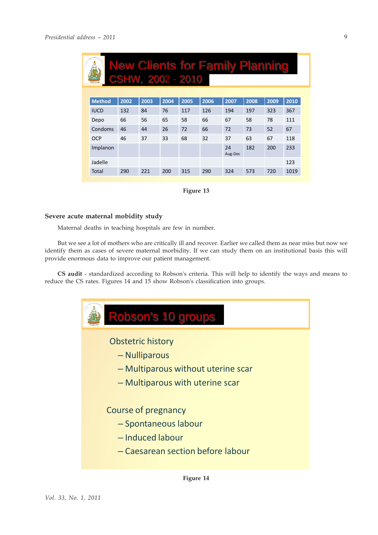| <b>New Clients for Family Planning</b><br>لمحل<br>CSHW, 2002 - 2010<br><b>TEAMS ATTN</b> |               |      |      |      |      |      |               |      |      |      |
|------------------------------------------------------------------------------------------|---------------|------|------|------|------|------|---------------|------|------|------|
|                                                                                          |               |      |      |      |      |      |               |      |      |      |
|                                                                                          | <b>Method</b> | 2002 | 2003 | 2004 | 2005 | 2006 | 2007          | 2008 | 2009 | 2010 |
|                                                                                          | <b>IUCD</b>   | 132  | 84   | 76   | 117  | 126  | 194           | 197  | 323  | 367  |
|                                                                                          | Depo          | 66   | 56   | 65   | 58   | 66   | 67            | 58   | 78   | 111  |
|                                                                                          | Condoms       | 46   | 44   | 26   | 72   | 66   | 72            | 73   | 52   | 67   |
|                                                                                          | <b>OCP</b>    | 46   | 37   | 33   | 68   | 32   | 37            | 63   | 67   | 118  |
|                                                                                          | Implanon      |      |      |      |      |      | 24<br>Aug-Dec | 182  | 200  | 233  |
|                                                                                          | Jadelle       |      |      |      |      |      |               |      |      | 123  |
|                                                                                          | Total         | 290  | 221  | 200  | 315  | 290  | 324           | 573  | 720  | 1019 |



#### **Severe acute maternal mobidity study**

Maternal deaths in teaching hospitals are few in number.

But we see a lot of mothers who are critically ill and recover. Earlier we called them as near miss but now we identify them as cases of severe maternal morbidity. If we can study them on an institutional basis this will provide enormous data to improve our patient management.

**CS audit** - standardized according to Robson's criteria. This will help to identify the ways and means to reduce the CS rates. Figures 14 and 15 show Robson's classification into groups.

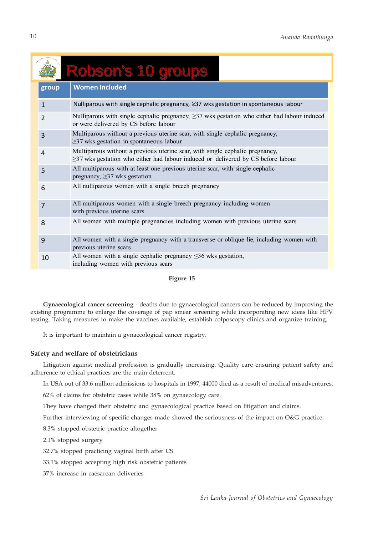|                | Robson's 10 groups                                                                                                                                                     |  |  |  |  |
|----------------|------------------------------------------------------------------------------------------------------------------------------------------------------------------------|--|--|--|--|
| group          | <b>Women Included</b>                                                                                                                                                  |  |  |  |  |
| $\mathbf{1}$   | Nulliparous with single cephalic pregnancy, ≥37 wks gestation in spontaneous labour                                                                                    |  |  |  |  |
| $\overline{2}$ | Nulliparous with single cephalic pregnancy, $\geq$ 37 wks gestation who either had labour induced<br>or were delivered by CS before labour                             |  |  |  |  |
| 3              | Multiparous without a previous uterine scar, with single cephalic pregnancy,<br>$\geq$ 37 wks gestation in spontaneous labour                                          |  |  |  |  |
| 4              | Multiparous without a previous uterine scar, with single cephalic pregnancy,<br>$\geq$ 37 wks gestation who either had labour induced or delivered by CS before labour |  |  |  |  |
| 5              | All multiparous with at least one previous uterine scar, with single cephalic<br>pregnancy, $\geq$ 37 wks gestation                                                    |  |  |  |  |
| 6              | All nulliparous women with a single breech pregnancy                                                                                                                   |  |  |  |  |
| $\overline{7}$ | All multiparous women with a single breech pregnancy including women<br>with previous uterine scars                                                                    |  |  |  |  |
| 8              | All women with multiple pregnancies including women with previous uterine scars                                                                                        |  |  |  |  |
| 9              | All women with a single pregnancy with a transverse or oblique lie, including women with<br>previous uterine scars                                                     |  |  |  |  |
| 10             | All women with a single cephalic pregnancy $\leq$ 36 wks gestation,<br>including women with previous scars                                                             |  |  |  |  |

## **Figure 15**

**Gynaecological cancer screening** - deaths due to gynaecological cancers can be reduced by improving the existing programme to enlarge the coverage of pap smear screening while incorporating new ideas like HPV testing. Taking measures to make the vaccines available, establish colposcopy clinics and organize training.

It is important to maintain a gynaecological cancer registry.

## **Safety and welfare of obstetricians**

Litigation against medical profession is gradually increasing. Quality care ensuring patient safety and adherence to ethical practices are the main deterrent.

In USA out of 33.6 million admissions to hospitals in 1997, 44000 died as a result of medical misadventures.

62% of claims for obstetric cases while 38% on gynaecology care.

They have changed their obstetric and gynaecological practice based on litigation and claims.

Further interviewing of specific changes made showed the seriousness of the impact on O&G practice.

8.3% stopped obstetric practice altogether

2.1% stopped surgery

32.7% stopped practicing vaginal birth after CS

33.1% stopped accepting high risk obstetric patients

37% increase in caesarean deliveries